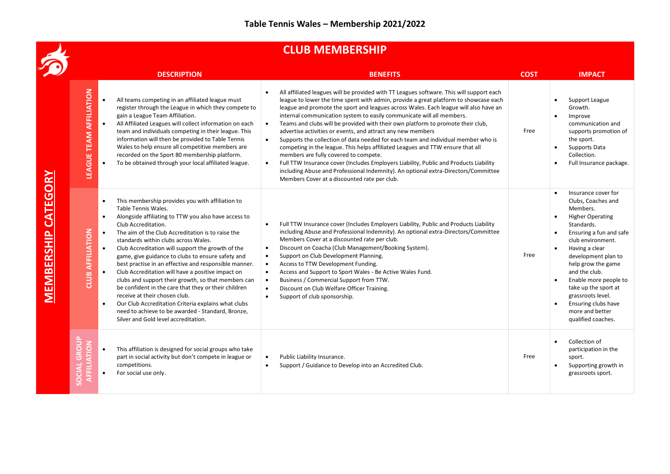## **CLUB MEMBERSHIP**

|                               | <b>CLUB MEMBERSHIP</b>                                                                                                                                                                                                                                                                                                                                                                                                                                                                                                                                                                                                                                                                                                                                                                                                                                                  |                                                                                                                                                                                                                                                                                                                                                                                                                                                                                                                                                                                                                                                                                                                                                                                                                                                                                                                                                                                                        |             |                                                                                                                                                                                                                                                                                                                                                                      |  |  |  |  |
|-------------------------------|-------------------------------------------------------------------------------------------------------------------------------------------------------------------------------------------------------------------------------------------------------------------------------------------------------------------------------------------------------------------------------------------------------------------------------------------------------------------------------------------------------------------------------------------------------------------------------------------------------------------------------------------------------------------------------------------------------------------------------------------------------------------------------------------------------------------------------------------------------------------------|--------------------------------------------------------------------------------------------------------------------------------------------------------------------------------------------------------------------------------------------------------------------------------------------------------------------------------------------------------------------------------------------------------------------------------------------------------------------------------------------------------------------------------------------------------------------------------------------------------------------------------------------------------------------------------------------------------------------------------------------------------------------------------------------------------------------------------------------------------------------------------------------------------------------------------------------------------------------------------------------------------|-------------|----------------------------------------------------------------------------------------------------------------------------------------------------------------------------------------------------------------------------------------------------------------------------------------------------------------------------------------------------------------------|--|--|--|--|
|                               | <b>DESCRIPTION</b>                                                                                                                                                                                                                                                                                                                                                                                                                                                                                                                                                                                                                                                                                                                                                                                                                                                      | <b>BENEFITS</b>                                                                                                                                                                                                                                                                                                                                                                                                                                                                                                                                                                                                                                                                                                                                                                                                                                                                                                                                                                                        | <b>COST</b> | <b>IMPACT</b>                                                                                                                                                                                                                                                                                                                                                        |  |  |  |  |
| CATEGORY<br><b>MEMBERSHIP</b> | <b>LEAGUE TEAM AFFILIATION</b><br>All teams competing in an affiliated league must<br>register through the League in which they compete to<br>gain a League Team Affiliation.<br>All Affiliated Leagues will collect information on each<br>team and individuals competing in their league. This<br>information will then be provided to Table Tennis<br>Wales to help ensure all competitive members are<br>recorded on the Sport 80 membership platform.<br>To be obtained through your local affiliated league.                                                                                                                                                                                                                                                                                                                                                      | All affiliated leagues will be provided with TT Leagues software. This will support each<br>$\bullet$<br>league to lower the time spent with admin, provide a great platform to showcase each<br>league and promote the sport and leagues across Wales. Each league will also have an<br>internal communication system to easily communicate will all members.<br>Teams and clubs will be provided with their own platform to promote their club,<br>$\bullet$<br>advertise activities or events, and attract any new members<br>Supports the collection of data needed for each team and individual member who is<br>$\bullet$<br>competing in the league. This helps affiliated Leagues and TTW ensure that all<br>members are fully covered to compete.<br>Full TTW Insurance cover (Includes Employers Liability, Public and Products Liability<br>$\bullet$<br>including Abuse and Professional Indemnity). An optional extra-Directors/Committee<br>Members Cover at a discounted rate per club. | Free        | Support League<br>Growth.<br>Improve<br>communication and<br>supports promotion of<br>the sport.<br>Supports Data<br>Collection.<br>Full Insurance package.                                                                                                                                                                                                          |  |  |  |  |
|                               | This membership provides you with affiliation to<br>$\bullet$<br>Table Tennis Wales.<br>Alongside affiliating to TTW you also have access to<br>$\bullet$<br>Club Accreditation.<br>AFFILIATION<br>The aim of the Club Accreditation is to raise the<br>standards within clubs across Wales.<br>Club Accreditation will support the growth of the<br>$\bullet$<br>game, give guidance to clubs to ensure safety and<br>best practise in an effective and responsible manner.<br>Club Accreditation will have a positive impact on<br>CLUB<br>$\bullet$<br>clubs and support their growth, so that members can<br>be confident in the care that they or their children<br>receive at their chosen club.<br>Our Club Accreditation Criteria explains what clubs<br>$\bullet$<br>need to achieve to be awarded - Standard, Bronze,<br>Silver and Gold level accreditation. | Full TTW Insurance cover (Includes Employers Liability, Public and Products Liability<br>including Abuse and Professional Indemnity). An optional extra-Directors/Committee<br>Members Cover at a discounted rate per club.<br>Discount on Coacha (Club Management/Booking System).<br>$\bullet$<br>Support on Club Development Planning.<br>$\bullet$<br>Access to TTW Development Funding.<br>$\bullet$<br>Access and Support to Sport Wales - Be Active Wales Fund.<br>$\bullet$<br>Business / Commercial Support from TTW.<br>$\bullet$<br>Discount on Club Welfare Officer Training.<br>$\bullet$<br>Support of club sponsorship.<br>$\bullet$                                                                                                                                                                                                                                                                                                                                                    | Free        | Insurance cover for<br>Clubs, Coaches and<br>Members.<br><b>Higher Operating</b><br>Standards.<br>Ensuring a fun and safe<br>club environment.<br>Having a clear<br>development plan to<br>help grow the game<br>and the club.<br>Enable more people to<br>take up the sport at<br>grassroots level.<br>Ensuring clubs have<br>more and better<br>qualified coaches. |  |  |  |  |
|                               | $\overline{5}$<br>AFFILIATION<br>This affiliation is designed for social groups who take<br>$\bullet$<br>part in social activity but don't compete in league or<br>$\overline{O}$<br>competitions.<br>For social use only.<br>$\bullet$<br>S <sub>o</sub>                                                                                                                                                                                                                                                                                                                                                                                                                                                                                                                                                                                                               | Public Liability Insurance.<br>$\bullet$<br>Support / Guidance to Develop into an Accredited Club.<br>$\bullet$                                                                                                                                                                                                                                                                                                                                                                                                                                                                                                                                                                                                                                                                                                                                                                                                                                                                                        | Free        | Collection of<br>participation in the<br>sport.<br>Supporting growth in<br>grassroots sport.                                                                                                                                                                                                                                                                         |  |  |  |  |